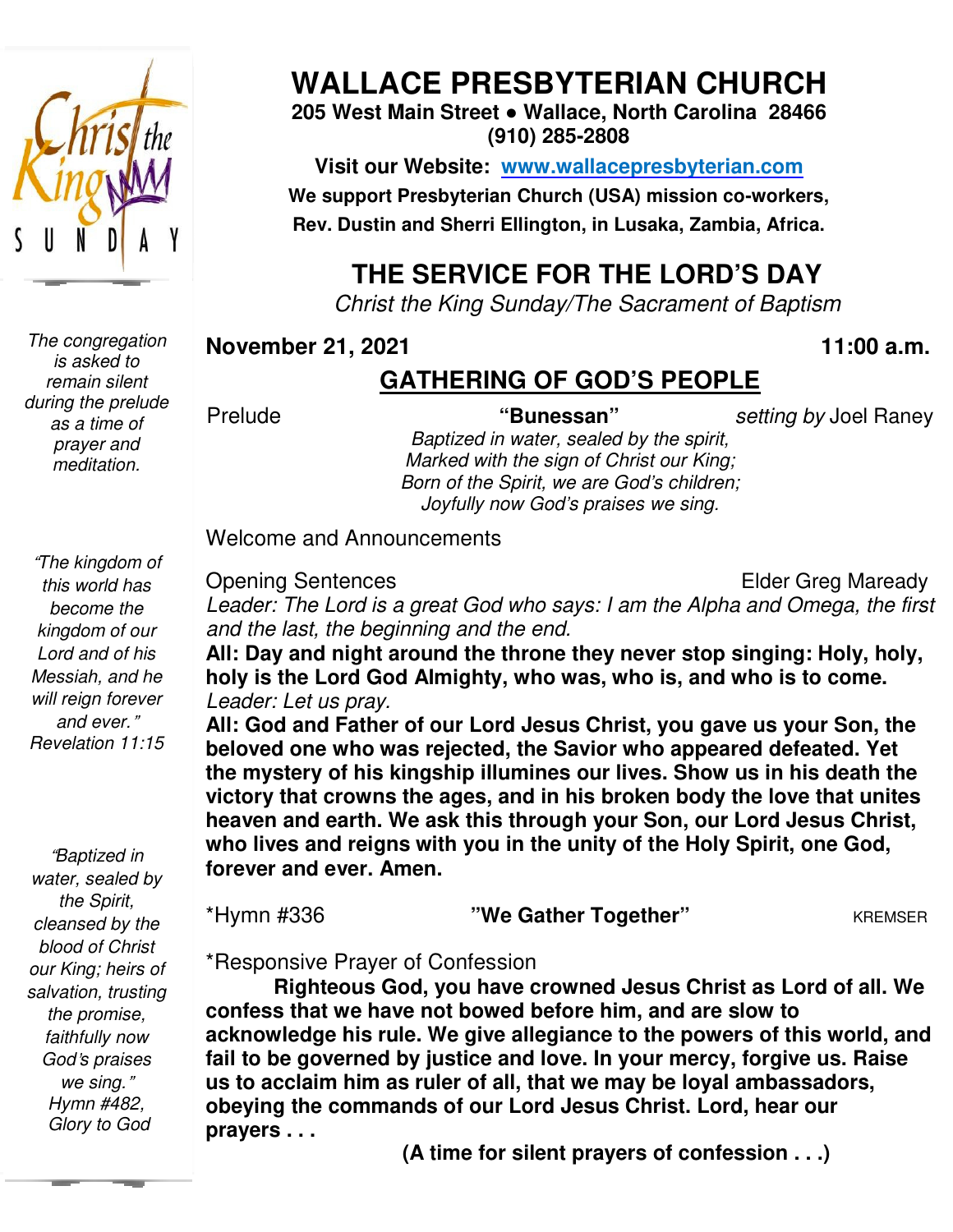

*The congregation is asked to remain silent during the prelude as a time of prayer and meditation.* 

 *God*'*s praises*  "*Baptized in water, sealed by the Spirit, cleansed by the blood of Christ our King; heirs of salvation, trusting the promise, faithfully now we sing.*" *Hymn #482, Glory to God* 

# **WALLACE PRESBYTERIAN CHURCH**

**205 West Main Street ● Wallace, North Carolina 28466 (910) 285-2808** 

**Visit our Website: www.wallacepresbyterian.com** We support Presbyterian Church (USA) mission co-workers, **Rev. Dustin and Sherri Ellington, in Lusaka, Zambia, Africa. Sherri Ellington,** 

# **THE SERVICE FOR THE LORD'S DAY**

*Christ the King Sunday Sunday/The Sacrament of Baptism* 

#### **November 21, 2021 , 11:00 a.m .**

## **GATHERING OF GOD'S PEOPLE**

Prelude

**"Bunessan"** *setting by* Joel Rane Raney

*Baptized in water, sealed by the spirit, Marked with the sign of Christ our King; Born of the Spirit, we are God's children; Joyfully now God' God's praises we sing.* 

Welcome and Announcements and Announcements

Opening Sentences

Elder Greg Maready

*Leader: The Lord is a great God who says: I am the Alpha and Omega, the first*  Leader: The Lord is a great God who sa<br>and the last, the beginning and the end.

All: Day and night around the throne they never stop singing: Holy, holy, **holy is the Lord God Almighty, who was, who is, and who is to come.** *Leader: Let us pray.* 

**All: God and Father of our Lord Jesus Christ, you gave us your Son, the beloved one who was rejected, the Savior who appeared defeated. Yet the mystery of his kingship illumines our lives. Show us in his death the victory that crowns the ages, and in his broken body the love that unites heaven and earth. We ask this through your Son, our Lord Jesus Christ, who lives and reigns with you in the unity of the Ho forever and ever. Amen. Amen.** is the Lord God Almighty, who was, who is, and who is to come.<br> *er: Let us pray.*<br>
Sod and Father of our Lord Jesus Christ, you gave us your Son, the<br>
ved one who was rejected, the Savior who appeared defeated. Yet<br>
nyste Father of our Lord Jesus Christ, you gave us your<br>who was rejected, the Savior who appeared defeat<br>of his kingship illumines our lives. Show us in his c<br>rowns the ages, and in his broken body the love th<br>earth. We ask this

| *Hymn #336 | "We Gather Together" | <b>KREMSER</b> |
|------------|----------------------|----------------|
|------------|----------------------|----------------|

\*Responsive Prayer of Confession Prayer

**Righteous God, you have crowned Jesus Christ as Lord of all. We confess that we have not bowed before him, and are slow to acknowledge his rule. We give allegiance to the powers of this world, and fail to be governed by interpredicts** as Lord of all. We confess that we have not bowed before him, and are slow to acknowledge his rule. We give allegiance to the powers of this world, ar fail to be governed by justice a **us to acclaim him as ruler of all, that we may be loyal ambassadors, obeying the commands of our Lord Jesus Christ. Lord, hear our prayers . . .**  us to acclaim him as ruler of all, that we may be loyal ambassad<br>obeying the commands of our Lord Jesus Christ. Lord, hear ou<br>prayers . . . (A time for silent prayers of confession . . .)

 **(A time for silent prayers of confession . . .)**

*this world has become the kingdom of our Lord and of his Messiah, and he will reign forever and ever.*" *Revelation 11:15* 

"*The kingdom of*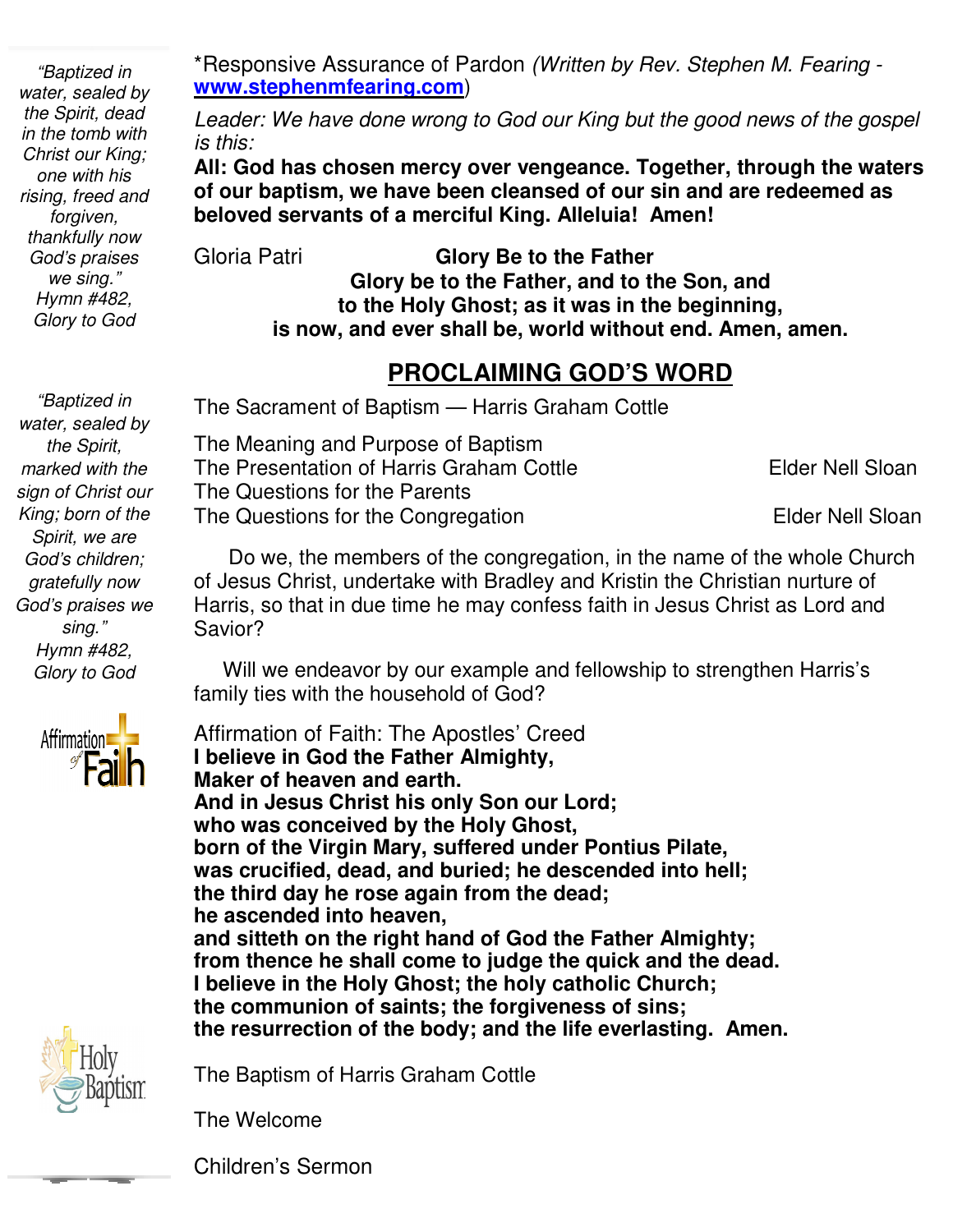*"Baptized in water, sealed by the Spirit, dead in the tomb with Christ our King; one with his rising, freed and forgiven, thankfully now God's praises we sing." Hymn #482, Glory to God* 

\*Responsive Assurance of Pardon  **www.stephenmfearing.com www.stephenmfearing.com**)

Leader: We have done wrong to God our King but the good news of the gospel *is this:* 

All: God has chosen mercy over vengeance. Together, through the waters<br>of our baptism, we have been cleansed of our sin and are redeemed as **of our baptism, we have been cleansed of our sin and are redeemed as**  All: God has chosen mercy over vengeance. Togethe<br>of our baptism, we have been cleansed of our sin an<br>beloved servants of a merciful King. Alleluia! Amen!

Gloria Patri

**Glory be to the Father, and to the Son, and to the Holy Ghost; as it was in the beginning,** to the Holy Ghost; as it was in the beginning,<br>is now, and ever shall be, world without end. Amen, amen. Fresponsive Assurance of Pardon *(Written by Rev. Stephen M. Fearing*<br> *by*<br> *teader: We have done wrong to God our King but the good news of the guarnits.<br>
<i>is this:*<br> **All: God has chosen mercy over vengeance. Together, Glory Be to the Father** 

#### **PROCLAIMING GOD'S WORD**

 *gratefully now "Baptized in water, sealed by the Spirit, marked with the sign of Christ our King; born of the Spirit, we are God's children; God's praises we sing." Hymn #482, Glory to God* 





The Sacrament of Baptism — Harris Graham Cottle

 The Questions for the Parents The Questions for the Congregation The for The for Elder Nell Sloan The Meaning and Purpose of Baptism  The Meaning and Purpose of Baptism<br>The Presentation of Harris Graham Cottle Elder Nell Sloan

 Do we, the members of the congregation, in the name of the whole Church of Jesus Christ, undertake with Bradley and Kristin the Christian nurture of Harris, so that in due time he may confess faith in Jesus Christ as Lord and Savior? Do we, the members of the<br>of Jesus Christ, undertake with<br>Harris, so that in due time he r<br>Savior?<br>Will we endeavor by our ex<br>family ties with the household  Elder Nell Sloan<br>
estions for the Parents<br>
estions for the Congregation<br>
we, the members of the congregation, in the name of the whole Church<br>
s Christ, undertake with Bradley and Kristin the Christian nurture of<br>
so that

 Will we endeavor by our example and fellowship to strengthen Harris's family ties with the household of God?

 **and sitteth on the right hand of God the Father Almighty;**  Affirmation of Faith: The Apostles' Creed **I believe in God the Father Almighty, Maker of heaven and earth. And in Jesus Christ his only Son our Lord; who was conceived by the Holy Ghost, born of the Virgin Mary, suffered under Pontius Pilate, l** believe in God the Father Almighty,<br>Maker of heaven and earth.<br>And in Jesus Christ his only Son our Lord;<br>who was conceived by the Holy Ghost,<br>born of the Virgin Mary, suffered under Pontius Pilate,<br>was crucified, dead **the third day he rose again from the dead; he ascended into heaven, from thence he shall come to judge the quick and the dead. I believe in the Holy Ghost; the holy catholic Church; the communion of saints; the forgiveness of sins; the resurrection of the body; and the life everlasting. Amen.** the third day he rose again from the dead;<br>he ascended into heaven,<br>and sitteth on the right hand of God the Father Almig<br>from thence he shall come to judge the quick and the<br>I believe in the Holy Ghost; the holy catholic **PROCLAIMING GOD'S WORD**<br>The Sacrament of Baptism — Harris Graham Cottle<br>The Meaning and Purpose of Baptism<br>The Presentation of Harris Graham Cottle<br>The Questions for the Parents<br>The Questions for the Congregation Elder Ne

The Baptism of Harris Graham Cottle

The Welcome

Children's Sermon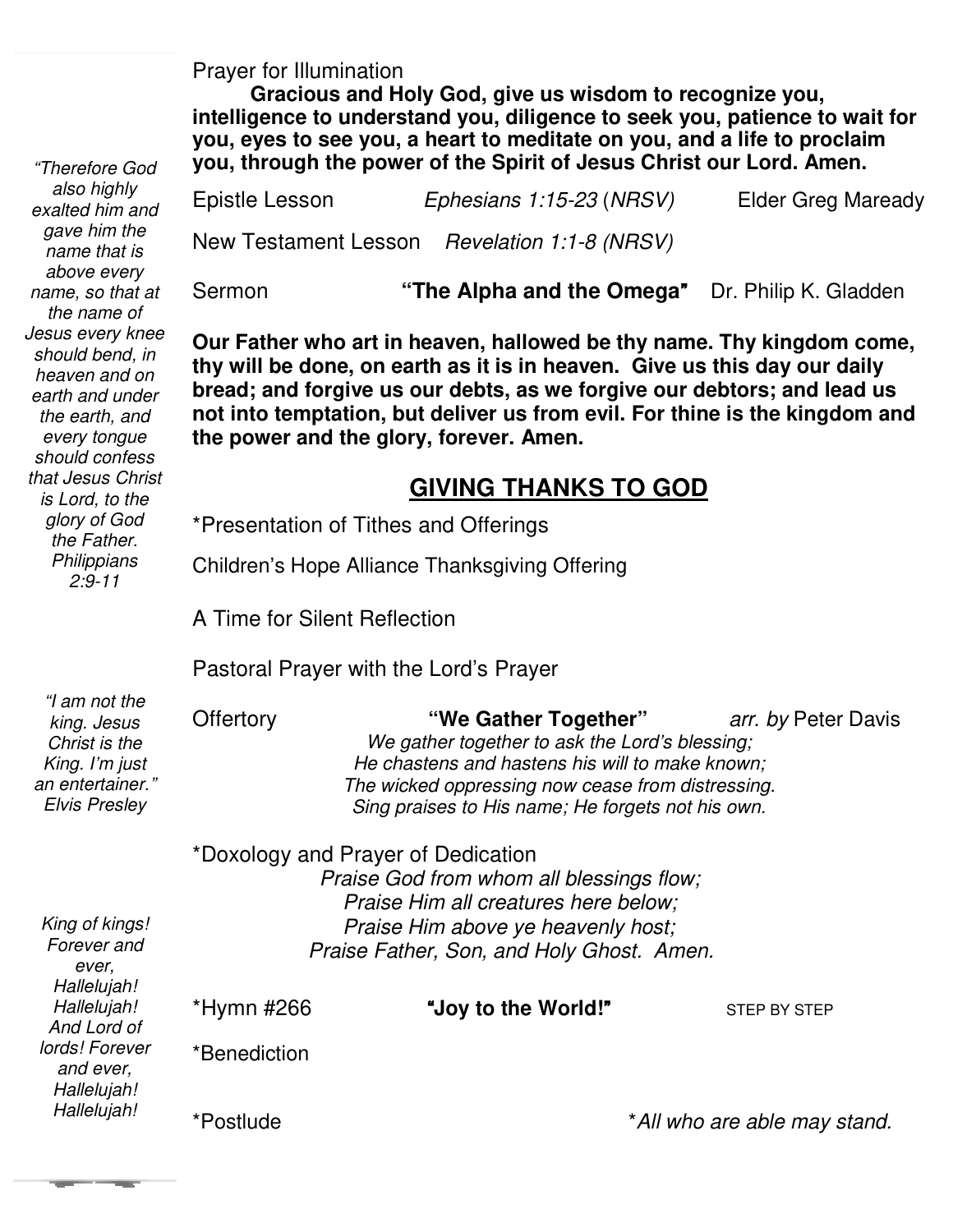Prayer for Illumination

 $\sim$  100  $\mu$ 

 $\sim$ 

 **Gracious and Holy God, give us wisdom to recognize you, intelligence to understand you, diligence to seek you, patience to wait for you, eyes to see you, a heart to meditate on you, and a life to proclaim you, through the power of the Spirit of Jesus Christ our Lord. Amen.** 

| "Therefore God                                                                                                              | you, through the power of the Spirit of Jesus Christ our Lord. Amen.                                                                                                                                                                                                                                                                                    |                                                                                                                           |                           |  |
|-----------------------------------------------------------------------------------------------------------------------------|---------------------------------------------------------------------------------------------------------------------------------------------------------------------------------------------------------------------------------------------------------------------------------------------------------------------------------------------------------|---------------------------------------------------------------------------------------------------------------------------|---------------------------|--|
| also highly<br>exalted him and                                                                                              | Epistle Lesson                                                                                                                                                                                                                                                                                                                                          | Ephesians 1:15-23 (NRSV)                                                                                                  | <b>Elder Greg Maready</b> |  |
| gave him the<br>name that is                                                                                                |                                                                                                                                                                                                                                                                                                                                                         | New Testament Lesson Revelation 1:1-8 (NRSV)                                                                              |                           |  |
| above every<br>name, so that at<br>the name of                                                                              | Sermon                                                                                                                                                                                                                                                                                                                                                  | "The Alpha and the Omega" Dr. Philip K. Gladden                                                                           |                           |  |
| Jesus every knee<br>should bend, in<br>heaven and on<br>earth and under<br>the earth, and<br>every tongue<br>should confess | Our Father who art in heaven, hallowed be thy name. Thy kingdom come,<br>thy will be done, on earth as it is in heaven. Give us this day our daily<br>bread; and forgive us our debts, as we forgive our debtors; and lead us<br>not into temptation, but deliver us from evil. For thine is the kingdom and<br>the power and the glory, forever. Amen. |                                                                                                                           |                           |  |
| that Jesus Christ<br>is Lord, to the                                                                                        | <b>GIVING THANKS TO GOD</b>                                                                                                                                                                                                                                                                                                                             |                                                                                                                           |                           |  |
| glory of God<br>the Father.<br>Philippians<br>$2:9 - 11$                                                                    | *Presentation of Tithes and Offerings                                                                                                                                                                                                                                                                                                                   |                                                                                                                           |                           |  |
|                                                                                                                             | Children's Hope Alliance Thanksgiving Offering                                                                                                                                                                                                                                                                                                          |                                                                                                                           |                           |  |
|                                                                                                                             | A Time for Silent Reflection                                                                                                                                                                                                                                                                                                                            |                                                                                                                           |                           |  |
|                                                                                                                             | Pastoral Prayer with the Lord's Prayer                                                                                                                                                                                                                                                                                                                  |                                                                                                                           |                           |  |
| "I am not the<br>king. Jesus<br>Christ is the<br>$\nu$ ing $\nu$ m i $\nu$                                                  | Offertory                                                                                                                                                                                                                                                                                                                                               | "We Gather Together"<br>We gather together to ask the Lord's blessing;<br>He sheeteng and besteps his will to make known: | arr. by Peter Davis       |  |

| "I am not the<br>king. Jesus<br>Christ is the<br>King. I'm just<br>an entertainer."<br><b>Elvis Presley</b> | Offertory                                                                                                                                                                                                 | "We Gather Together" arr. by Peter Davis<br>We gather together to ask the Lord's blessing;<br>He chastens and hastens his will to make known;<br>The wicked oppressing now cease from distressing.<br>Sing praises to His name; He forgets not his own. |                              |  |
|-------------------------------------------------------------------------------------------------------------|-----------------------------------------------------------------------------------------------------------------------------------------------------------------------------------------------------------|---------------------------------------------------------------------------------------------------------------------------------------------------------------------------------------------------------------------------------------------------------|------------------------------|--|
| King of kings!<br>Forever and<br>ever,                                                                      | *Doxology and Prayer of Dedication<br>Praise God from whom all blessings flow;<br>Praise Him all creatures here below;<br>Praise Him above ye heavenly host;<br>Praise Father, Son, and Holy Ghost. Amen. |                                                                                                                                                                                                                                                         |                              |  |
| Hallelujah!<br>Hallelujah!<br>And Lord of<br>lords! Forever<br>and ever,<br>Hallelujah!<br>Hallelujah!      | *Hymn #266<br>*Benediction                                                                                                                                                                                | "Joy to the World!"                                                                                                                                                                                                                                     | <b>STEP BY STEP</b>          |  |
|                                                                                                             | *Postlude                                                                                                                                                                                                 |                                                                                                                                                                                                                                                         | *All who are able may stand. |  |